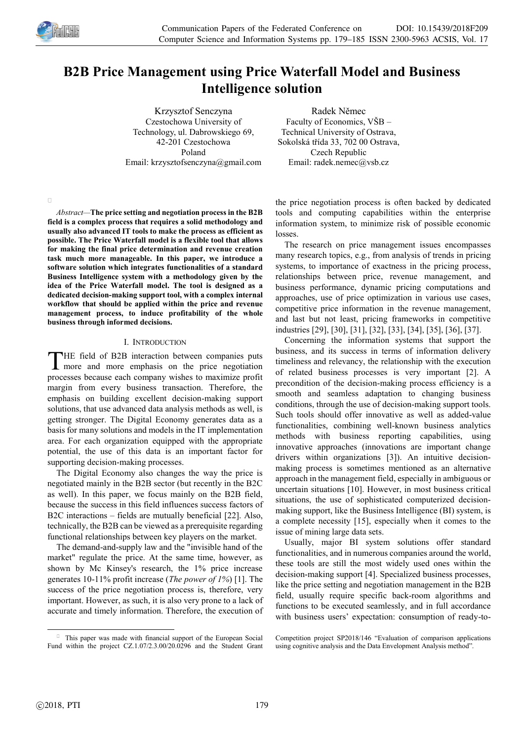

 $\Box$ 

# **B2B Price Management using Price Waterfall Model and Business Intelligence solution**

Krzysztof Senczyna Czestochowa University of Technology, ul. Dabrowskiego 69, 42-201 Czestochowa Poland Email: krzysztofsenczyna@gmail.com

Radek Němec Faculty of Economics, VŠB – Technical University of Ostrava, Sokolská třída 33, 702 00 Ostrava, Czech Republic Email: radek.nemec@vsb.cz

*Abstract—***The price setting and negotiation process in the B2B field is a complex process that requires a solid methodology and usually also advanced IT tools to make the process as efficient as possible. The Price Waterfall model is a flexible tool that allows for making the final price determination and revenue creation task much more manageable. In this paper, we introduce a software solution which integrates functionalities of a standard Business Intelligence system with a methodology given by the idea of the Price Waterfall model. The tool is designed as a dedicated decision-making support tool, with a complex internal workflow that should be applied within the price and revenue management process, to induce profitability of the whole business through informed decisions.** 

# I. INTRODUCTION

HE field of B2B interaction between companies puts THE field of B2B interaction between companies puts<br>more and more emphasis on the price negotiation processes because each company wishes to maximize profit margin from every business transaction. Therefore, the emphasis on building excellent decision-making support solutions, that use advanced data analysis methods as well, is getting stronger. The Digital Economy generates data as a basis for many solutions and models in the IT implementation area. For each organization equipped with the appropriate potential, the use of this data is an important factor for supporting decision-making processes.

The Digital Economy also changes the way the price is negotiated mainly in the B2B sector (but recently in the B2C as well). In this paper, we focus mainly on the B2B field, because the success in this field influences success factors of B2C interactions – fields are mutually beneficial [22]. Also, technically, the B2B can be viewed as a prerequisite regarding functional relationships between key players on the market.

The demand-and-supply law and the "invisible hand of the market" regulate the price. At the same time, however, as shown by Mc Kinsey's research, the 1% price increase generates 10-11% profit increase (*The power of 1%*) [1]. The success of the price negotiation process is, therefore, very important. However, as such, it is also very prone to a lack of accurate and timely information. Therefore, the execution of

1 This paper was made with financial support of the European Social Fund within the project CZ.1.07/2.3.00/20.0296 and the Student Grant the price negotiation process is often backed by dedicated tools and computing capabilities within the enterprise information system, to minimize risk of possible economic losses.

The research on price management issues encompasses many research topics, e.g., from analysis of trends in pricing systems, to importance of exactness in the pricing process, relationships between price, revenue management, and business performance, dynamic pricing computations and approaches, use of price optimization in various use cases, competitive price information in the revenue management, and last but not least, pricing frameworks in competitive industries [29], [30], [31], [32], [33], [34], [35], [36], [37].

Concerning the information systems that support the business, and its success in terms of information delivery timeliness and relevancy, the relationship with the execution of related business processes is very important [2]. A precondition of the decision-making process efficiency is a smooth and seamless adaptation to changing business conditions, through the use of decision-making support tools. Such tools should offer innovative as well as added-value functionalities, combining well-known business analytics methods with business reporting capabilities, using innovative approaches (innovations are important change drivers within organizations [3]). An intuitive decisionmaking process is sometimes mentioned as an alternative approach in the management field, especially in ambiguous or uncertain situations [10]. However, in most business critical situations, the use of sophisticated computerized decisionmaking support, like the Business Intelligence (BI) system, is a complete necessity [15], especially when it comes to the issue of mining large data sets.

Usually, major BI system solutions offer standard functionalities, and in numerous companies around the world, these tools are still the most widely used ones within the decision-making support [4]. Specialized business processes, like the price setting and negotiation management in the B2B field, usually require specific back-room algorithms and functions to be executed seamlessly, and in full accordance with business users' expectation: consumption of ready-to-

Competition project SP2018/146 "Evaluation of comparison applications using cognitive analysis and the Data Envelopment Analysis method".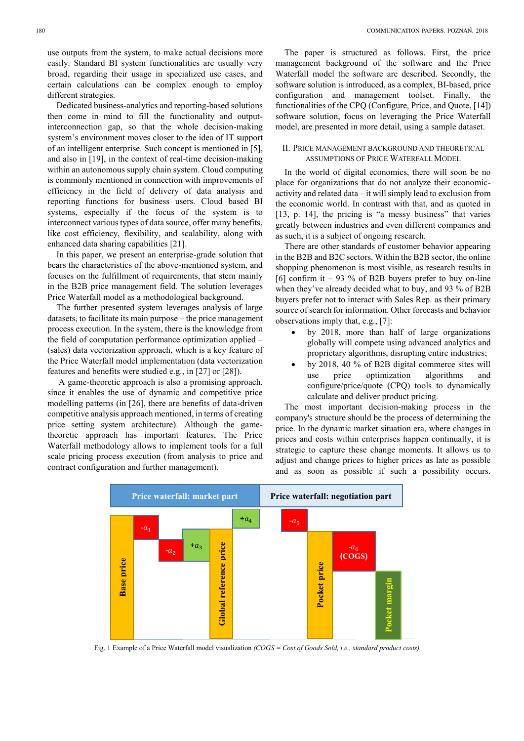Dedicated business-analytics and reporting-based solutions then come in mind to fill the functionality and outputinterconnection gap, so that the whole decision-making system's environment moves closer to the idea of IT support of an intelligent enterprise. Such concept is mentioned in [5], and also in [19], in the context of real-time decision-making within an autonomous supply chain system. Cloud computing is commonly mentioned in connection with improvements of efficiency in the field of delivery of data analysis and reporting functions for business users. Cloud based BI systems, especially if the focus of the system is to interconnect various types of data source, offer many benefits, like cost efficiency, flexibility, and scalability, along with enhanced data sharing capabilities [21].

In this paper, we present an enterprise-grade solution that bears the characteristics of the above-mentioned system, and focuses on the fulfillment of requirements, that stem mainly in the B2B price management field. The solution leverages Price Waterfall model as a methodological background.

The further presented system leverages analysis of large datasets, to facilitate its main purpose – the price management process execution. In the system, there is the knowledge from the field of computation performance optimization applied – (sales) data vectorization approach, which is a key feature of the Price Waterfall model implementation (data vectorization features and benefits were studied e.g., in [27] or [28]).

 A game-theoretic approach is also a promising approach, since it enables the use of dynamic and competitive price modelling patterns (in [26], there are benefits of data-driven competitive analysis approach mentioned, in terms of creating price setting system architecture). Although the gametheoretic approach has important features, The Price Waterfall methodology allows to implement tools for a full scale pricing process execution (from analysis to price and contract configuration and further management).

The paper is structured as follows. First, the price management background of the software and the Price Waterfall model the software are described. Secondly, the software solution is introduced, as a complex, BI-based, price configuration and management toolset. Finally, the functionalities of the CPQ (Configure, Price, and Quote, [14]) software solution, focus on leveraging the Price Waterfall model, are presented in more detail, using a sample dataset.

# II. PRICE MANAGEMENT BACKGROUND AND THEORETICAL ASSUMPTIONS OF PRICE WATERFALL MODEL

In the world of digital economics, there will soon be no place for organizations that do not analyze their economicactivity and related data – it will simply lead to exclusion from the economic world. In contrast with that, and as quoted in [13, p. 14], the pricing is "a messy business" that varies greatly between industries and even different companies and as such, it is a subject of ongoing research.

There are other standards of customer behavior appearing in the B2B and B2C sectors. Within the B2B sector, the online shopping phenomenon is most visible, as research results in [6] confirm it  $-93\%$  of B2B buyers prefer to buy on-line when they've already decided what to buy, and 93 % of B2B buyers prefer not to interact with Sales Rep. as their primary source of search for information. Other forecasts and behavior observations imply that, e.g., [7]:

- by 2018, more than half of large organizations globally will compete using advanced analytics and proprietary algorithms, disrupting entire industries;
- by 2018, 40 % of B2B digital commerce sites will use price optimization algorithms and configure/price/quote (CPQ) tools to dynamically calculate and deliver product pricing.

The most important decision-making process in the company's structure should be the process of determining the price. In the dynamic market situation era, where changes in prices and costs within enterprises happen continually, it is strategic to capture these change moments. It allows us to adjust and change prices to higher prices as late as possible and as soon as possible if such a possibility occurs.



Fig. 1 Example of a Price Waterfall model visualization *(COGS = Cost of Goods Sold, i.e., standard product costs)*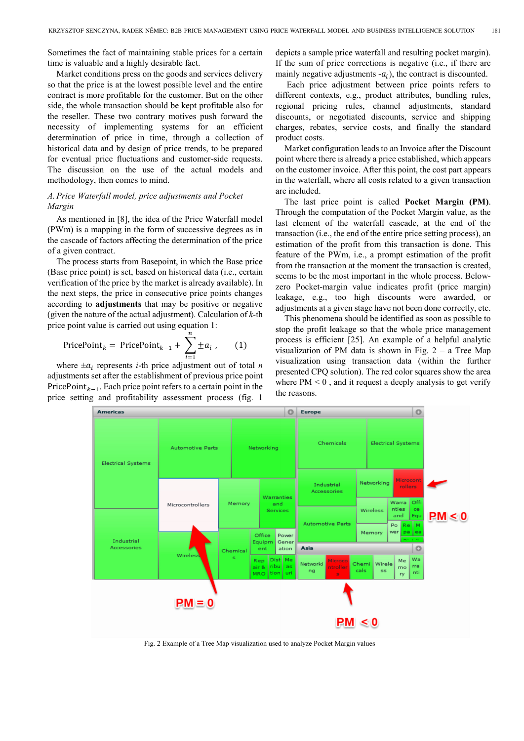Sometimes the fact of maintaining stable prices for a certain time is valuable and a highly desirable fact.

Market conditions press on the goods and services delivery so that the price is at the lowest possible level and the entire contract is more profitable for the customer. But on the other side, the whole transaction should be kept profitable also for the reseller. These two contrary motives push forward the necessity of implementing systems for an efficient determination of price in time, through a collection of historical data and by design of price trends, to be prepared for eventual price fluctuations and customer-side requests. The discussion on the use of the actual models and methodology, then comes to mind.

# *A.Price Waterfall model, price adjustments and Pocket Margin*

As mentioned in [8], the idea of the Price Waterfall model (PWm) is a mapping in the form of successive degrees as in the cascade of factors affecting the determination of the price of a given contract.

The process starts from Basepoint, in which the Base price (Base price point) is set, based on historical data (i.e., certain verification of the price by the market is already available). In the next steps, the price in consecutive price points changes according to **adjustments** that may be positive or negative (given the nature of the actual adjustment). Calculation of *k-*th price point value is carried out using equation 1:

$$
PricePointk = PricePointk-1 + \sum_{i=1}^{n} \pm a_i , \qquad (1)
$$

where  $\pm a_i$  represents *i*-th price adjustment out of total *n* adjustments set after the establishment of previous price point PricePoint<sub> $k-1$ </sub>. Each price point refers to a certain point in the price setting and profitability assessment process (fig. 1

depicts a sample price waterfall and resulting pocket margin). If the sum of price corrections is negative (i.e., if there are mainly negative adjustments  $-a_i$ ), the contract is discounted.

 Each price adjustment between price points refers to different contexts, e.g., product attributes, bundling rules, regional pricing rules, channel adjustments, standard discounts, or negotiated discounts, service and shipping charges, rebates, service costs, and finally the standard product costs.

Market configuration leads to an Invoice after the Discount point where there is already a price established, which appears on the customer invoice. After this point, the cost part appears in the waterfall, where all costs related to a given transaction are included.

The last price point is called **Pocket Margin (PM)**. Through the computation of the Pocket Margin value, as the last element of the waterfall cascade, at the end of the transaction (i.e., the end of the entire price setting process), an estimation of the profit from this transaction is done. This feature of the PWm, i.e., a prompt estimation of the profit from the transaction at the moment the transaction is created, seems to be the most important in the whole process. Belowzero Pocket-margin value indicates profit (price margin) leakage, e.g., too high discounts were awarded, or adjustments at a given stage have not been done correctly, etc.

This phenomena should be identified as soon as possible to stop the profit leakage so that the whole price management process is efficient [25]. An example of a helpful analytic visualization of PM data is shown in Fig.  $2 - a$  Tree Map visualization using transaction data (within the further presented CPQ solution). The red color squares show the area where  $PM < 0$ , and it request a deeply analysis to get verify the reasons.



Fig. 2 Example of a Tree Map visualization used to analyze Pocket Margin values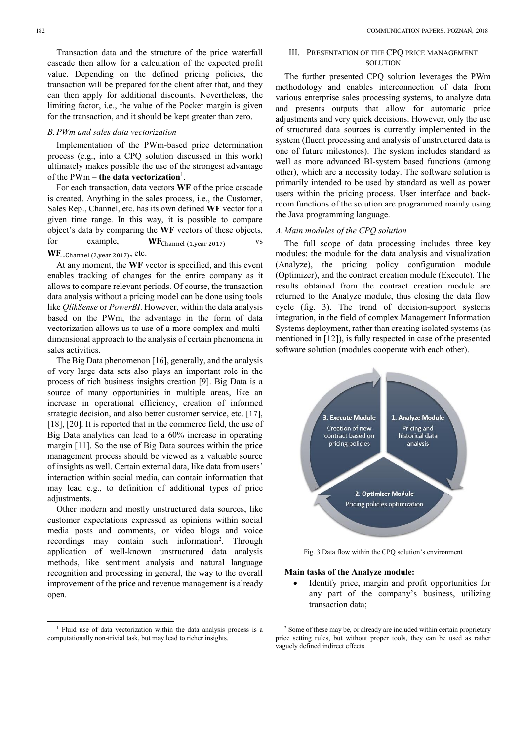Transaction data and the structure of the price waterfall cascade then allow for a calculation of the expected profit value. Depending on the defined pricing policies, the transaction will be prepared for the client after that, and they can then apply for additional discounts. Nevertheless, the limiting factor, i.e., the value of the Pocket margin is given for the transaction, and it should be kept greater than zero.

#### *B.PWm and sales data vectorization*

Implementation of the PWm-based price determination process (e.g., into a CPQ solution discussed in this work) ultimately makes possible the use of the strongest advantage of the PWm – **the data vectorization** 1 .

For each transaction, data vectors **WF** of the price cascade is created. Anything in the sales process, i.e., the Customer, Sales Rep., Channel, etc. has its own defined **WF** vector for a given time range. In this way, it is possible to compare object's data by comparing the **WF** vectors of these objects, for example,  $WF_{\text{Channel (1,year 2017)}}$  vs  $\text{WF}_{\text{\tiny \text{...}}\text{Channel}}$  (2,year 2017), etc.

At any moment, the **WF** vector is specified, and this event enables tracking of changes for the entire company as it allows to compare relevant periods. Of course, the transaction data analysis without a pricing model can be done using tools like *QlikSense* or *PowerBI*. However, within the data analysis based on the PWm, the advantage in the form of data vectorization allows us to use of a more complex and multidimensional approach to the analysis of certain phenomena in sales activities.

The Big Data phenomenon [16], generally, and the analysis of very large data sets also plays an important role in the process of rich business insights creation [9]. Big Data is a source of many opportunities in multiple areas, like an increase in operational efficiency, creation of informed strategic decision, and also better customer service, etc. [17], [18], [20]. It is reported that in the commerce field, the use of Big Data analytics can lead to a 60% increase in operating margin [11]. So the use of Big Data sources within the price management process should be viewed as a valuable source of insights as well. Certain external data, like data from users' interaction within social media, can contain information that may lead e.g., to definition of additional types of price adjustments.

Other modern and mostly unstructured data sources, like customer expectations expressed as opinions within social media posts and comments, or video blogs and voice recordings may contain such information 2 . Through application of well-known unstructured data analysis methods, like sentiment analysis and natural language recognition and processing in general, the way to the overall improvement of the price and revenue management is already open.

-

# III. PRESENTATION OF THE CPQ PRICE MANAGEMENT **SOLUTION**

The further presented CPQ solution leverages the PWm methodology and enables interconnection of data from various enterprise sales processing systems, to analyze data and presents outputs that allow for automatic price adjustments and very quick decisions. However, only the use of structured data sources is currently implemented in the system (fluent processing and analysis of unstructured data is one of future milestones). The system includes standard as well as more advanced BI-system based functions (among other), which are a necessity today. The software solution is primarily intended to be used by standard as well as power users within the pricing process. User interface and backroom functions of the solution are programmed mainly using the Java programming language.

#### *A. Main modules of the CPQ solution*

The full scope of data processing includes three key modules: the module for the data analysis and visualization (Analyze), the pricing policy configuration module (Optimizer), and the contract creation module (Execute). The results obtained from the contract creation module are returned to the Analyze module, thus closing the data flow cycle (fig. 3). The trend of decision-support systems integration, in the field of complex Management Information Systems deployment, rather than creating isolated systems (as mentioned in [12]), is fully respected in case of the presented software solution (modules cooperate with each other).



Fig. 3 Data flow within the CPQ solution's environment

#### **Main tasks of the Analyze module:**

 Identify price, margin and profit opportunities for any part of the company's business, utilizing transaction data;

<sup>&</sup>lt;sup>1</sup> Fluid use of data vectorization within the data analysis process is a computationally non-trivial task, but may lead to richer insights.

<sup>&</sup>lt;sup>2</sup> Some of these may be, or already are included within certain proprietary price setting rules, but without proper tools, they can be used as rather vaguely defined indirect effects.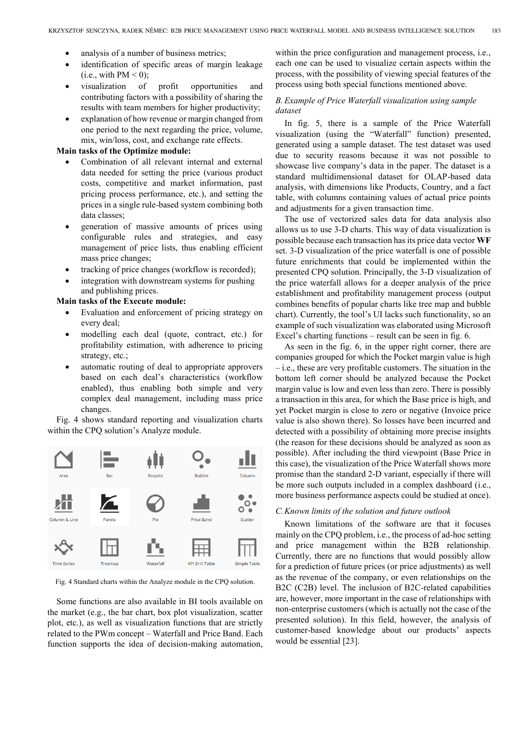- analysis of a number of business metrics;
- identification of specific areas of margin leakage  $(i.e., with PM < 0);$
- visualization of profit opportunities and contributing factors with a possibility of sharing the results with team members for higher productivity;
- explanation of how revenue or margin changed from one period to the next regarding the price, volume, mix, win/loss, cost, and exchange rate effects.

#### **Main tasks of the Optimize module:**

- Combination of all relevant internal and external data needed for setting the price (various product costs, competitive and market information, past pricing process performance, etc.), and setting the prices in a single rule-based system combining both data classes;
- generation of massive amounts of prices using configurable rules and strategies, and easy management of price lists, thus enabling efficient mass price changes;
- tracking of price changes (workflow is recorded);
- integration with downstream systems for pushing and publishing prices.

#### **Main tasks of the Execute module:**

- Evaluation and enforcement of pricing strategy on every deal;
- modelling each deal (quote, contract, etc.) for profitability estimation, with adherence to pricing strategy, etc.;
- automatic routing of deal to appropriate approvers based on each deal's characteristics (workflow enabled), thus enabling both simple and very complex deal management, including mass price changes.

Fig. 4 shows standard reporting and visualization charts within the CPQ solution's Analyze module.



Fig. 4 Standard charts within the Analyze module in the CPQ solution.

Some functions are also available in BI tools available on the market (e.g., the bar chart, box plot visualization, scatter plot, etc.), as well as visualization functions that are strictly related to the PWm concept – Waterfall and Price Band. Each function supports the idea of decision-making automation,

within the price configuration and management process, i.e., each one can be used to visualize certain aspects within the process, with the possibility of viewing special features of the process using both special functions mentioned above.

# *B.Example of Price Waterfall visualization using sample dataset*

In fig. 5, there is a sample of the Price Waterfall visualization (using the "Waterfall" function) presented, generated using a sample dataset. The test dataset was used due to security reasons because it was not possible to showcase live company's data in the paper. The dataset is a standard multidimensional dataset for OLAP-based data analysis, with dimensions like Products, Country, and a fact table, with columns containing values of actual price points and adjustments for a given transaction time.

The use of vectorized sales data for data analysis also allows us to use 3-D charts. This way of data visualization is possible because each transaction has its price data vector **WF** set. 3-D visualization of the price waterfall is one of possible future enrichments that could be implemented within the presented CPQ solution. Principally, the 3-D visualization of the price waterfall allows for a deeper analysis of the price establishment and profitability management process (output combines benefits of popular charts like tree map and bubble chart). Currently, the tool's UI lacks such functionality, so an example of such visualization was elaborated using Microsoft Excel's charting functions – result can be seen in fig. 6.

As seen in the fig. 6, in the upper right corner, there are companies grouped for which the Pocket margin value is high – i.e., these are very profitable customers. The situation in the bottom left corner should be analyzed because the Pocket margin value is low and even less than zero. There is possibly a transaction in this area, for which the Base price is high, and yet Pocket margin is close to zero or negative (Invoice price value is also shown there). So losses have been incurred and detected with a possibility of obtaining more precise insights (the reason for these decisions should be analyzed as soon as possible). After including the third viewpoint (Base Price in this case), the visualization of the Price Waterfall shows more promise than the standard 2-D variant, especially if there will be more such outputs included in a complex dashboard (i.e., more business performance aspects could be studied at once).

## *C.Known limits of the solution and future outlook*

Known limitations of the software are that it focuses mainly on the CPQ problem, i.e., the process of ad-hoc setting and price management within the B2B relationship. Currently, there are no functions that would possibly allow for a prediction of future prices (or price adjustments) as well as the revenue of the company, or even relationships on the B2C (C2B) level. The inclusion of B2C-related capabilities are, however, more important in the case of relationships with non-enterprise customers (which is actually not the case of the presented solution). In this field, however, the analysis of customer-based knowledge about our products' aspects would be essential [23].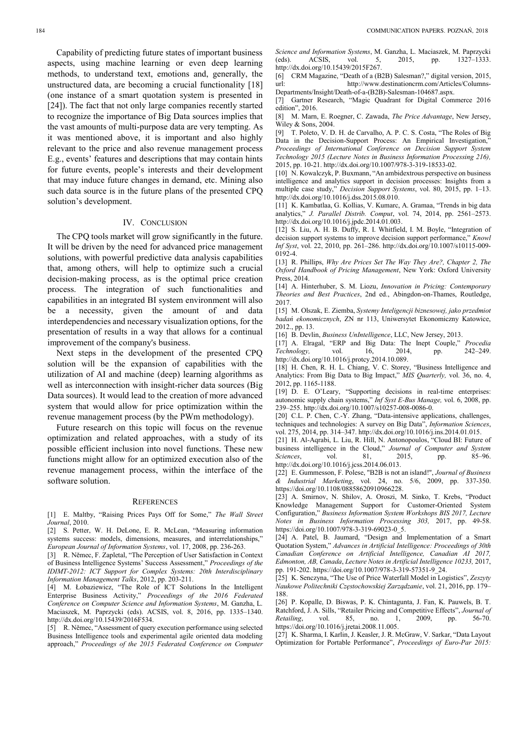Capability of predicting future states of important business aspects, using machine learning or even deep learning methods, to understand text, emotions and, generally, the unstructured data, are becoming a crucial functionality [18] (one instance of a smart quotation system is presented in [24]). The fact that not only large companies recently started to recognize the importance of Big Data sources implies that the vast amounts of multi-purpose data are very tempting. As it was mentioned above, it is important and also highly relevant to the price and also revenue management process E.g., events' features and descriptions that may contain hints for future events, people's interests and their development that may induce future changes in demand, etc. Mining also such data source is in the future plans of the presented CPQ solution's development.

## IV. CONCLUSION

The CPQ tools market will grow significantly in the future. It will be driven by the need for advanced price management solutions, with powerful predictive data analysis capabilities that, among others, will help to optimize such a crucial decision-making process, as is the optimal price creation process. The integration of such functionalities and capabilities in an integrated BI system environment will also be a necessity, given the amount of and data interdependencies and necessary visualization options, for the presentation of results in a way that allows for a continual improvement of the company's business.

Next steps in the development of the presented CPQ solution will be the expansion of capabilities with the utilization of AI and machine (deep) learning algorithms as well as interconnection with insight-richer data sources (Big Data sources). It would lead to the creation of more advanced system that would allow for price optimization within the revenue management process (by the PWm methodology).

Future research on this topic will focus on the revenue optimization and related approaches, with a study of its possible efficient inclusion into novel functions. These new functions might allow for an optimized execution also of the revenue management process, within the interface of the software solution.

#### **REFERENCES**

[1] E. Maltby, "Raising Prices Pays Off for Some," *The Wall Street Journal*, 2010.

[2] S. Petter, W. H. DeLone, E. R. McLean, "Measuring information systems success: models, dimensions, measures, and interrelationships, *European Journal of Information Systems*, vol. 17, 2008, pp. 236-263.

[3] R. Němec, F. Zapletal, "The Perception of User Satisfaction in Context of Business Intelligence Systems' Success Assessment," *Proceedings of the IDIMT-2012: ICT Support for Complex Systems: 20th Interdisciplinary Information Management Talks*, 2012, pp. 203-211.

[4] M. Łobaziewicz, "The Role of ICT Solutions In the Intelligent Enterprise Business Activity," *Proceedings of the 2016 Federated Conference on Computer Science and Information Systems*, M. Ganzha, L. Maciaszek, M. Paprzycki (eds). ACSIS, vol. 8, 2016, pp. 1335–1340. http://dx.doi.org/10.15439/2016F534.

[5] R. Němec, "Assessment of query execution performance using selected Business Intelligence tools and experimental agile oriented data modeling approach," *Proceedings of the 2015 Federated Conference on Computer* 

*Science and Information Systems*, M. Ganzha, L. Maciaszek, M. Paprzycki (eds). ACSIS, vol. 5, 2015, pp. 1327–1333. http://dx.doi.org/10.15439/2015F267.

[6] CRM Magazine, "Death of a (B2B) Salesman?," digital version, 2015, http://www.destinationcrm.com/Articles/Columns-Departments/Insight/Death-of-a-(B2B)-Salesman-104687.aspx.

[7] Gartner Research, "Magic Quadrant for Digital Commerce 2016 edition", 2016.

[8] M. Marn, E. Roegner, C. Zawada, *The Price Advantage*, New Jersey, Wiley & Sons, 2004.

[9] T. Poleto, V. D. H. de Carvalho, A. P. C. S. Costa, "The Roles of Big Data in the Decision-Support Process: An Empirical Investigation," *Proceedings of International Conference on Decision Support System Technology 2015 (Lecture Notes in Business Information Processing 216),* 2015, pp. 10-21. http://dx.doi.org/10.1007/978-3-319-18533-02.

[10] N. Kowalczyk, P. Buxmann, "An ambidextrous perspective on business intelligence and analytics support in decision processes: Insights from a multiple case study," *Decision Support Systems*, vol. 80, 2015, pp. 1–13. http://dx.doi.org/10.1016/j.dss.2015.08.010.

[11] K. Kambatlaa, G. Kollias, V. Kumarc, A. Gramaa, "Trends in big data analytics," *J. Parallel Distrib. Comput*, vol. 74, 2014, pp. 2561–2573. http://dx.doi.org/10.1016/j.jpdc.2014.01.003.

[12] S. Liu, A. H. B. Duffy, R. I. Whitfield, I. M. Boyle, "Integration of decision support systems to improve decision support performance," *Knowl Inf Syst*, vol. 22, 2010, pp. 261–286. http://dx.doi.org/10.1007/s10115-009- 0192-4.

[13] R. Phillips, *Why Are Prices Set The Way They Are?, Chapter 2, The Oxford Handbook of Pricing Management*, New York: Oxford University Press, 2014.

[14] A. Hinterhuber, S. M. Liozu, *Innovation in Pricing: Contemporary Theories and Best Practices*, 2nd ed., Abingdon-on-Thames, Routledge, 2017.

[15] M. Olszak, E. Ziemba, *Systemy Inteligencji biznesowej, jako przedmiot badań ekonomicznych*, ZN nr 113, Uniwersytet Ekonomiczny Katowice, 2012., pp. 13.

[16] B. Devlin, *Business UnIntelligence*, LLC, New Jersey, 2013. [17] A. Elragal, "ERP and Big Data: The Inept Couple," *Procedia Technology*, vol. 16, 2014, pp. http://dx.doi.org/10.1016/j.protcy.2014.10.089.

[18] H. Chen, R. H. L. Chiang, V. C. Storey, "Business Intelligence and Analytics: From Big Data to Big Impact," *MIS Quarterly,* vol. 36, no. 4, 2012, pp. 1165-1188.

[19] D. E. O'Leary, "Supporting decisions in real-time enterprises: autonomic supply chain systems," *Inf Syst E-Bus Manage,* vol. 6, 2008, pp. 239–255. http://dx.doi.org/10.1007/s10257-008-0086-0.

[20] C.L. P. Chen, C.-Y. Zhang, "Data-intensive applications, challenges, techniques and technologies: A survey on Big Data", *Information Sciences*, vol. 275, 2014, pp. 314–347. http://dx.doi.org/10.1016/j.ins.2014.01.015.

[21] H. Al-Aqrabi, L. Liu, R. Hill, N. Antonopoulos, "Cloud BI: Future of business intelligence in the Cloud," *Journal of Computer and System Sciences*, vol. 81, 2015, pp. 85–96. http://dx.doi.org/10.1016/j.jcss.2014.06.013.

[22] E. Gummesson, F. Polese, "B2B is not an island!", *Journal of Business & Industrial Marketing*, vol. 24, no. 5/6, 2009, pp. 337-350. https://doi.org/10.1108/08858620910966228.

[23] A. Smirnov, N. Shilov, A. Oroszi, M. Sinko, T. Krebs, "Product Knowledge Management Support for Customer-Oriented System Configuration," *Business Information System Workshops BIS 2017, Lecture Notes in Business Information Processing 303,* 2017, pp. 49-58. https://doi.org/10.1007/978-3-319-69023-0\_5.

[24] A. Patel, B. Jaumard, "Design and Implementation of a Smart Quotation System," *Advances in Artificial Intelligence: Proceedings of 30th Canadian Conference on Artificial Intelligence, Canadian AI 2017, Edmonton, AB, Canada*, *Lecture Notes in Artificial Intelligence 10233,* 2017, pp. 191-202. https://doi.org/10.1007/978-3-319-57351-9\_24.

[25] K. Senczyna, "The Use of Price Waterfall Model in Logistics", *Zeszyty Naukowe Politechniki Częstochowskiej Zarządzanie*, vol. 21, 2016, pp. 179– 188.

[26] P. Kopalle, D. Biswas, P. K. Chintagunta, J. Fan, K. Pauwels, B. T. Ratchford, J. A. Sills, "Retailer Pricing and Competitive Effects", *Journal of Retailing*, vol. 85, no. 1, 2009, pp. https://doi.org/10.1016/j.jretai.2008.11.005.

[27] K. Sharma, I. Karlin, J. Keasler, J. R. McGraw, V. Sarkar, "Data Layout Optimization for Portable Performance", *Proceedings of Euro-Par 2015:*